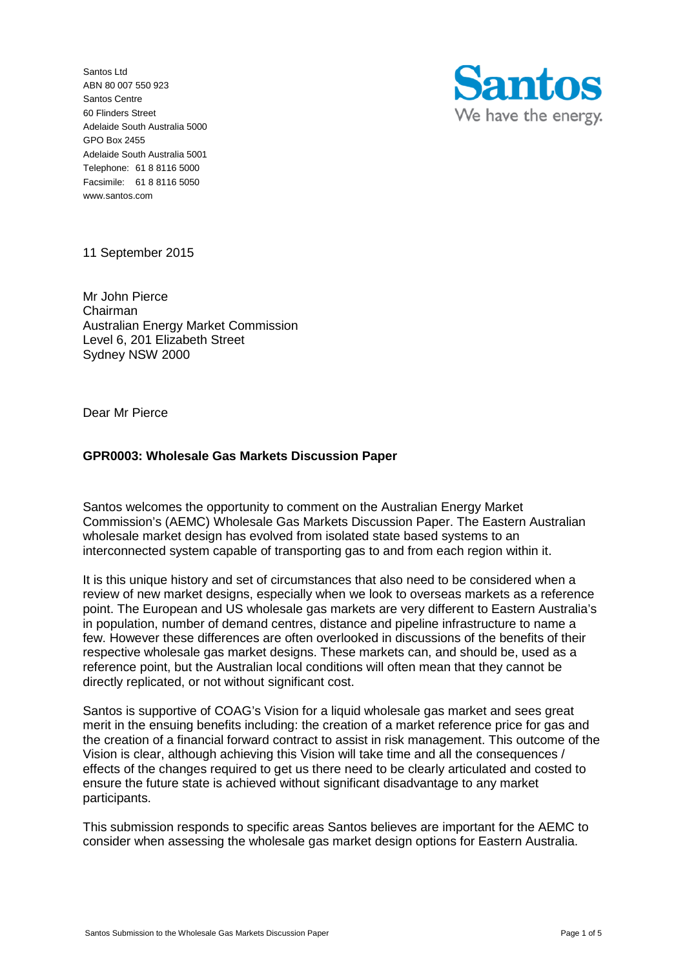Santos Ltd ABN 80 007 550 923 Santos Centre 60 Flinders Street Adelaide South Australia 5000 GPO Box 2455 Adelaide South Australia 5001 Telephone: 61 8 8116 5000 Facsimile: 61 8 8116 5050 www.santos.com



11 September 2015

Mr John Pierce Chairman Australian Energy Market Commission Level 6, 201 Elizabeth Street Sydney NSW 2000

Dear Mr Pierce

# **GPR0003: Wholesale Gas Markets Discussion Paper**

Santos welcomes the opportunity to comment on the Australian Energy Market Commission's (AEMC) Wholesale Gas Markets Discussion Paper. The Eastern Australian wholesale market design has evolved from isolated state based systems to an interconnected system capable of transporting gas to and from each region within it.

It is this unique history and set of circumstances that also need to be considered when a review of new market designs, especially when we look to overseas markets as a reference point. The European and US wholesale gas markets are very different to Eastern Australia's in population, number of demand centres, distance and pipeline infrastructure to name a few. However these differences are often overlooked in discussions of the benefits of their respective wholesale gas market designs. These markets can, and should be, used as a reference point, but the Australian local conditions will often mean that they cannot be directly replicated, or not without significant cost.

Santos is supportive of COAG's Vision for a liquid wholesale gas market and sees great merit in the ensuing benefits including: the creation of a market reference price for gas and the creation of a financial forward contract to assist in risk management. This outcome of the Vision is clear, although achieving this Vision will take time and all the consequences / effects of the changes required to get us there need to be clearly articulated and costed to ensure the future state is achieved without significant disadvantage to any market participants.

This submission responds to specific areas Santos believes are important for the AEMC to consider when assessing the wholesale gas market design options for Eastern Australia.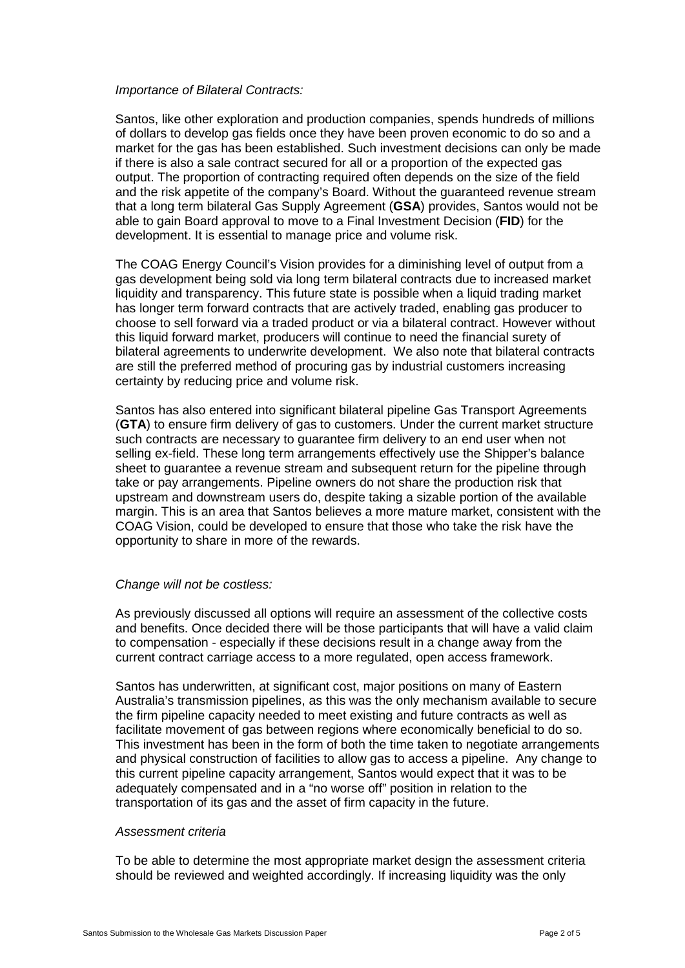### *Importance of Bilateral Contracts:*

Santos, like other exploration and production companies, spends hundreds of millions of dollars to develop gas fields once they have been proven economic to do so and a market for the gas has been established. Such investment decisions can only be made if there is also a sale contract secured for all or a proportion of the expected gas output. The proportion of contracting required often depends on the size of the field and the risk appetite of the company's Board. Without the guaranteed revenue stream that a long term bilateral Gas Supply Agreement (**GSA**) provides, Santos would not be able to gain Board approval to move to a Final Investment Decision (**FID**) for the development. It is essential to manage price and volume risk.

The COAG Energy Council's Vision provides for a diminishing level of output from a gas development being sold via long term bilateral contracts due to increased market liquidity and transparency. This future state is possible when a liquid trading market has longer term forward contracts that are actively traded, enabling gas producer to choose to sell forward via a traded product or via a bilateral contract. However without this liquid forward market, producers will continue to need the financial surety of bilateral agreements to underwrite development. We also note that bilateral contracts are still the preferred method of procuring gas by industrial customers increasing certainty by reducing price and volume risk.

Santos has also entered into significant bilateral pipeline Gas Transport Agreements (**GTA**) to ensure firm delivery of gas to customers. Under the current market structure such contracts are necessary to guarantee firm delivery to an end user when not selling ex-field. These long term arrangements effectively use the Shipper's balance sheet to guarantee a revenue stream and subsequent return for the pipeline through take or pay arrangements. Pipeline owners do not share the production risk that upstream and downstream users do, despite taking a sizable portion of the available margin. This is an area that Santos believes a more mature market, consistent with the COAG Vision, could be developed to ensure that those who take the risk have the opportunity to share in more of the rewards.

# *Change will not be costless:*

As previously discussed all options will require an assessment of the collective costs and benefits. Once decided there will be those participants that will have a valid claim to compensation - especially if these decisions result in a change away from the current contract carriage access to a more regulated, open access framework.

Santos has underwritten, at significant cost, major positions on many of Eastern Australia's transmission pipelines, as this was the only mechanism available to secure the firm pipeline capacity needed to meet existing and future contracts as well as facilitate movement of gas between regions where economically beneficial to do so. This investment has been in the form of both the time taken to negotiate arrangements and physical construction of facilities to allow gas to access a pipeline. Any change to this current pipeline capacity arrangement, Santos would expect that it was to be adequately compensated and in a "no worse off" position in relation to the transportation of its gas and the asset of firm capacity in the future.

### *Assessment criteria*

To be able to determine the most appropriate market design the assessment criteria should be reviewed and weighted accordingly. If increasing liquidity was the only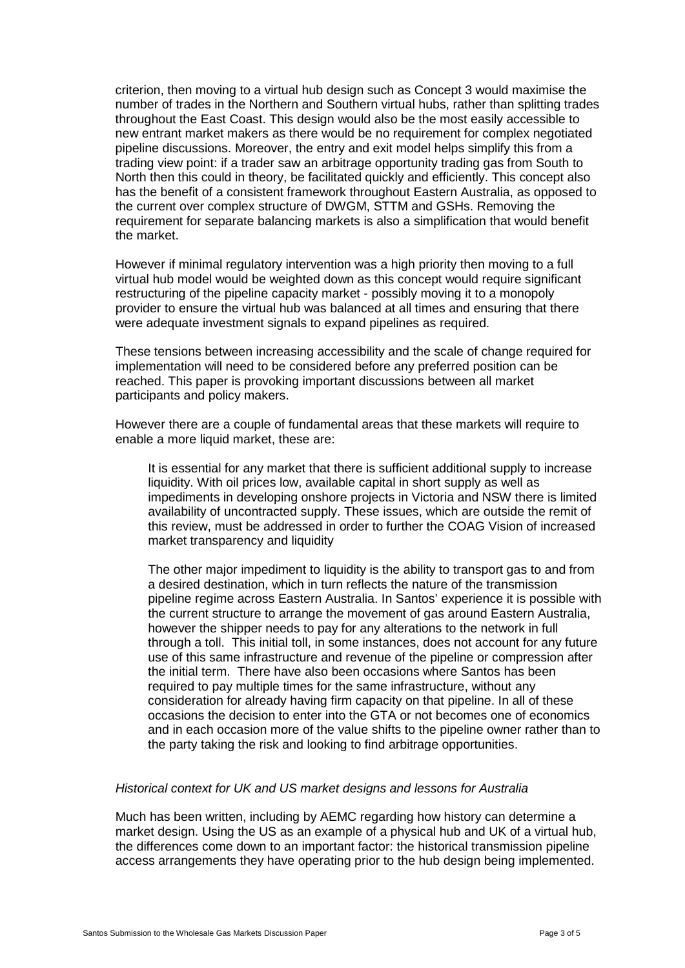criterion, then moving to a virtual hub design such as Concept 3 would maximise the number of trades in the Northern and Southern virtual hubs, rather than splitting trades throughout the East Coast. This design would also be the most easily accessible to new entrant market makers as there would be no requirement for complex negotiated pipeline discussions. Moreover, the entry and exit model helps simplify this from a trading view point: if a trader saw an arbitrage opportunity trading gas from South to North then this could in theory, be facilitated quickly and efficiently. This concept also has the benefit of a consistent framework throughout Eastern Australia, as opposed to the current over complex structure of DWGM, STTM and GSHs. Removing the requirement for separate balancing markets is also a simplification that would benefit the market.

However if minimal regulatory intervention was a high priority then moving to a full virtual hub model would be weighted down as this concept would require significant restructuring of the pipeline capacity market - possibly moving it to a monopoly provider to ensure the virtual hub was balanced at all times and ensuring that there were adequate investment signals to expand pipelines as required.

These tensions between increasing accessibility and the scale of change required for implementation will need to be considered before any preferred position can be reached. This paper is provoking important discussions between all market participants and policy makers.

However there are a couple of fundamental areas that these markets will require to enable a more liquid market, these are:

It is essential for any market that there is sufficient additional supply to increase liquidity. With oil prices low, available capital in short supply as well as impediments in developing onshore projects in Victoria and NSW there is limited availability of uncontracted supply. These issues, which are outside the remit of this review, must be addressed in order to further the COAG Vision of increased market transparency and liquidity

The other major impediment to liquidity is the ability to transport gas to and from a desired destination, which in turn reflects the nature of the transmission pipeline regime across Eastern Australia. In Santos' experience it is possible with the current structure to arrange the movement of gas around Eastern Australia, however the shipper needs to pay for any alterations to the network in full through a toll. This initial toll, in some instances, does not account for any future use of this same infrastructure and revenue of the pipeline or compression after the initial term. There have also been occasions where Santos has been required to pay multiple times for the same infrastructure, without any consideration for already having firm capacity on that pipeline. In all of these occasions the decision to enter into the GTA or not becomes one of economics and in each occasion more of the value shifts to the pipeline owner rather than to the party taking the risk and looking to find arbitrage opportunities.

# *Historical context for UK and US market designs and lessons for Australia*

Much has been written, including by AEMC regarding how history can determine a market design. Using the US as an example of a physical hub and UK of a virtual hub, the differences come down to an important factor: the historical transmission pipeline access arrangements they have operating prior to the hub design being implemented.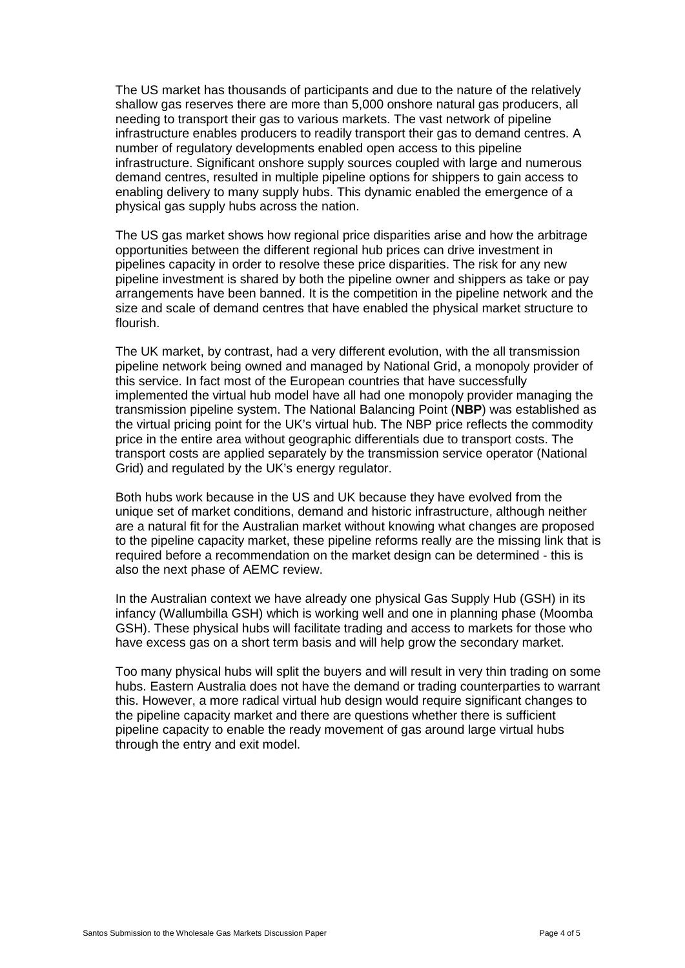The US market has thousands of participants and due to the nature of the relatively shallow gas reserves there are more than 5,000 onshore natural gas producers, all needing to transport their gas to various markets. The vast network of pipeline infrastructure enables producers to readily transport their gas to demand centres. A number of regulatory developments enabled open access to this pipeline infrastructure. Significant onshore supply sources coupled with large and numerous demand centres, resulted in multiple pipeline options for shippers to gain access to enabling delivery to many supply hubs. This dynamic enabled the emergence of a physical gas supply hubs across the nation.

The US gas market shows how regional price disparities arise and how the arbitrage opportunities between the different regional hub prices can drive investment in pipelines capacity in order to resolve these price disparities. The risk for any new pipeline investment is shared by both the pipeline owner and shippers as take or pay arrangements have been banned. It is the competition in the pipeline network and the size and scale of demand centres that have enabled the physical market structure to flourish.

The UK market, by contrast, had a very different evolution, with the all transmission pipeline network being owned and managed by National Grid, a monopoly provider of this service. In fact most of the European countries that have successfully implemented the virtual hub model have all had one monopoly provider managing the transmission pipeline system. The National Balancing Point (**NBP**) was established as the virtual pricing point for the UK's virtual hub. The NBP price reflects the commodity price in the entire area without geographic differentials due to transport costs. The transport costs are applied separately by the transmission service operator (National Grid) and regulated by the UK's energy regulator.

Both hubs work because in the US and UK because they have evolved from the unique set of market conditions, demand and historic infrastructure, although neither are a natural fit for the Australian market without knowing what changes are proposed to the pipeline capacity market, these pipeline reforms really are the missing link that is required before a recommendation on the market design can be determined - this is also the next phase of AEMC review.

In the Australian context we have already one physical Gas Supply Hub (GSH) in its infancy (Wallumbilla GSH) which is working well and one in planning phase (Moomba GSH). These physical hubs will facilitate trading and access to markets for those who have excess gas on a short term basis and will help grow the secondary market.

Too many physical hubs will split the buyers and will result in very thin trading on some hubs. Eastern Australia does not have the demand or trading counterparties to warrant this. However, a more radical virtual hub design would require significant changes to the pipeline capacity market and there are questions whether there is sufficient pipeline capacity to enable the ready movement of gas around large virtual hubs through the entry and exit model.